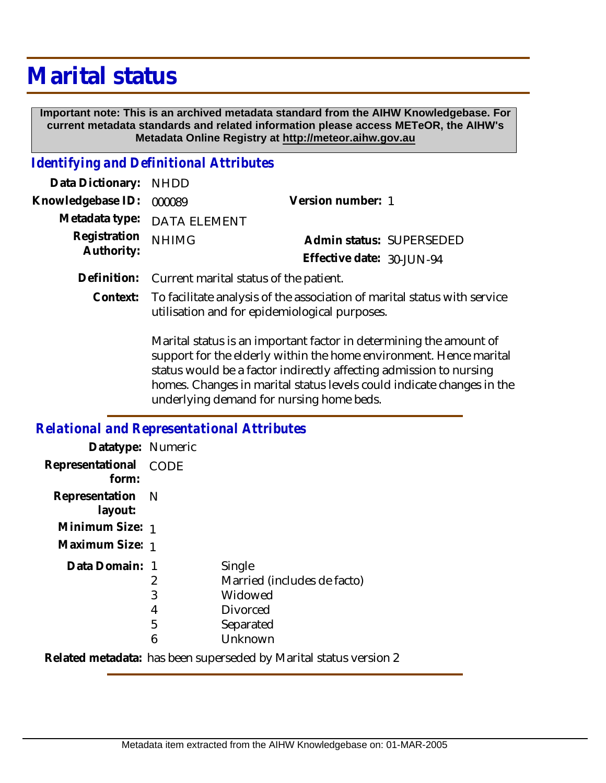## **Marital status**

 **Important note: This is an archived metadata standard from the AIHW Knowledgebase. For current metadata standards and related information please access METeOR, the AIHW's Metadata Online Registry at http://meteor.aihw.gov.au**

## *Identifying and Definitional Attributes*

| Data Dictionary: NHDD    |                             |                              |  |
|--------------------------|-----------------------------|------------------------------|--|
| Knowledgebase ID: 000089 |                             | Version number: 1            |  |
|                          | Metadata type: DATA ELEMENT |                              |  |
| Registration NHIMG       |                             | Admin status: SUPERSEDED     |  |
| Authority:               |                             | Effective date: $30$ -JUN-94 |  |
|                          |                             |                              |  |

- **Definition:** Current marital status of the patient.
	- Context: To facilitate analysis of the association of marital status with service utilisation and for epidemiological purposes.

Marital status is an important factor in determining the amount of support for the elderly within the home environment. Hence marital status would be a factor indirectly affecting admission to nursing homes. Changes in marital status levels could indicate changes in the underlying demand for nursing home beds.

## *Relational and Representational Attributes* **Datatype:** Numeric **Representational** CODE  **form: Representation** N

| layout:         |   |                                                                     |
|-----------------|---|---------------------------------------------------------------------|
| Minimum Size: 1 |   |                                                                     |
| Maximum Size: 1 |   |                                                                     |
| Data Domain: 1  |   | Single                                                              |
|                 |   | Married (includes de facto)                                         |
|                 | 3 | Widowed                                                             |
|                 | 4 | <b>Divorced</b>                                                     |
|                 | 5 | Separated                                                           |
|                 | 6 | Unknown                                                             |
|                 |   | Delated meetadata . Jees leega quraasadad ku Maxital atatus waxayay |

**Related metadata:** has been superseded by Marital status version 2